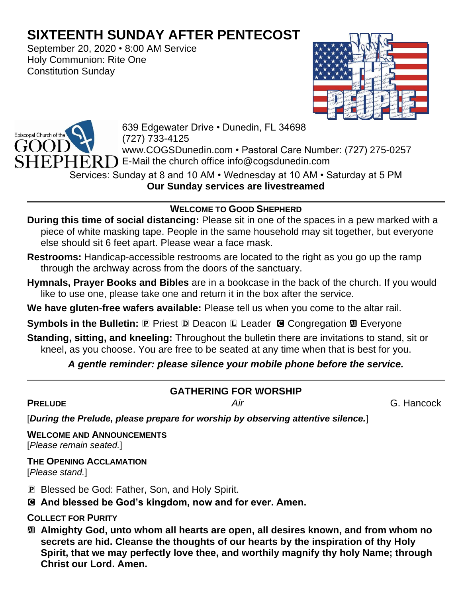# **SIXTEENTH SUNDAY AFTER PENTECOST**

September 20, 2020 • 8:00 AM Service Holy Communion: Rite One Constitution Sunday





 639 Edgewater Drive • Dunedin, FL 34698 (727) 733-4125 www.COGSDunedin.com • Pastoral Care Number: (727) 275-0257 E-Mail the church office info@cogsdunedin.com

Services: Sunday at 8 and 10 AM • Wednesday at 10 AM • Saturday at 5 PM **Our Sunday services are livestreamed**

# **WELCOME TO GOOD SHEPHERD**

**During this time of social distancing:** Please sit in one of the spaces in a pew marked with a piece of white masking tape. People in the same household may sit together, but everyone else should sit 6 feet apart. Please wear a face mask.

**Restrooms:** Handicap-accessible restrooms are located to the right as you go up the ramp through the archway across from the doors of the sanctuary.

**Hymnals, Prayer Books and Bibles** are in a bookcase in the back of the church. If you would like to use one, please take one and return it in the box after the service.

**We have gluten-free wafers available:** Please tell us when you come to the altar rail.

**Symbols in the Bulletin: P Priest D Deacon L Leader @ Congregation & Everyone** 

**Standing, sitting, and kneeling:** Throughout the bulletin there are invitations to stand, sit or kneel, as you choose. You are free to be seated at any time when that is best for you.

# *A gentle reminder: please silence your mobile phone before the service.*

**GATHERING FOR WORSHIP**

**PRELUDE** *Air* G. Hancock

[*During the Prelude, please prepare for worship by observing attentive silence.*]

**WELCOME AND ANNOUNCEMENTS** [*Please remain seated.*]

**THE OPENING ACCLAMATION** [*Please stand.*]

- P Blessed be God: Father, Son, and Holy Spirit.
- C **And blessed be God's kingdom, now and for ever. Amen.**

# **COLLECT FOR PURITY**

a **Almighty God, unto whom all hearts are open, all desires known, and from whom no secrets are hid. Cleanse the thoughts of our hearts by the inspiration of thy Holy Spirit, that we may perfectly love thee, and worthily magnify thy holy Name; through Christ our Lord. Amen.**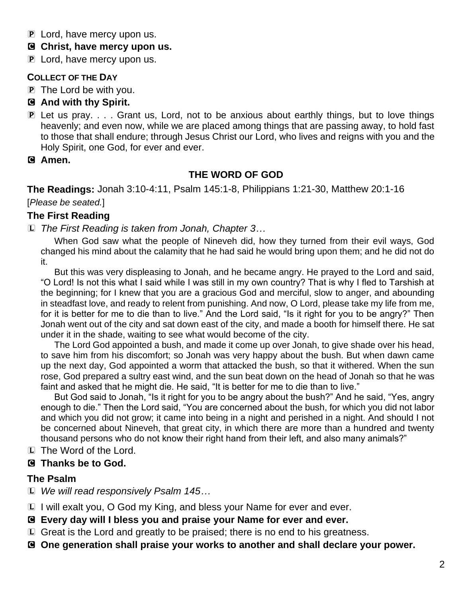- **P** Lord, have mercy upon us.
- C **Christ, have mercy upon us.**
- **P** Lord, have mercy upon us.

# **COLLECT OF THE DAY**

P The Lord be with you.

# C **And with thy Spirit.**

P Let us pray. . . . Grant us, Lord, not to be anxious about earthly things, but to love things heavenly; and even now, while we are placed among things that are passing away, to hold fast to those that shall endure; through Jesus Christ our Lord, who lives and reigns with you and the Holy Spirit, one God, for ever and ever.

## C **Amen.**

# **THE WORD OF GOD**

**The Readings:** Jonah 3:10-4:11, Psalm 145:1-8, Philippians 1:21-30, Matthew 20:1-16 [*Please be seated.*]

# **The First Reading**

L *The First Reading is taken from Jonah, Chapter 3…*

When God saw what the people of Nineveh did, how they turned from their evil ways, God changed his mind about the calamity that he had said he would bring upon them; and he did not do it.

But this was very displeasing to Jonah, and he became angry. He prayed to the Lord and said, "O Lord! Is not this what I said while I was still in my own country? That is why I fled to Tarshish at the beginning; for I knew that you are a gracious God and merciful, slow to anger, and abounding in steadfast love, and ready to relent from punishing. And now, O Lord, please take my life from me, for it is better for me to die than to live." And the Lord said, "Is it right for you to be angry?" Then Jonah went out of the city and sat down east of the city, and made a booth for himself there. He sat under it in the shade, waiting to see what would become of the city.

The Lord God appointed a bush, and made it come up over Jonah, to give shade over his head, to save him from his discomfort; so Jonah was very happy about the bush. But when dawn came up the next day, God appointed a worm that attacked the bush, so that it withered. When the sun rose, God prepared a sultry east wind, and the sun beat down on the head of Jonah so that he was faint and asked that he might die. He said, "It is better for me to die than to live."

But God said to Jonah, "Is it right for you to be angry about the bush?" And he said, "Yes, angry enough to die." Then the Lord said, "You are concerned about the bush, for which you did not labor and which you did not grow; it came into being in a night and perished in a night. And should I not be concerned about Nineveh, that great city, in which there are more than a hundred and twenty thousand persons who do not know their right hand from their left, and also many animals?"

L The Word of the Lord.

# C **Thanks be to God.**

# **The Psalm**

L *We will read responsively Psalm 145…*

L I will exalt you, O God my King, and bless your Name for ever and ever.

- C **Every day will I bless you and praise your Name for ever and ever.**
- L Great is the Lord and greatly to be praised; there is no end to his greatness.
- C **One generation shall praise your works to another and shall declare your power.**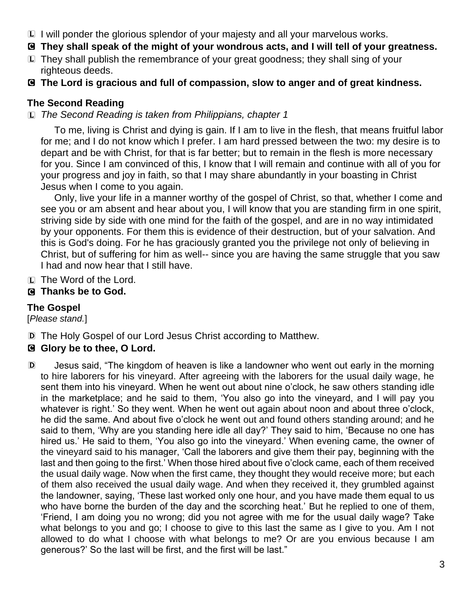- L I will ponder the glorious splendor of your majesty and all your marvelous works.
- C **They shall speak of the might of your wondrous acts, and I will tell of your greatness.**
- L They shall publish the remembrance of your great goodness; they shall sing of your righteous deeds.
- C **The Lord is gracious and full of compassion, slow to anger and of great kindness.**

# **The Second Reading**

L *The Second Reading is taken from Philippians, chapter 1*

To me, living is Christ and dying is gain. If I am to live in the flesh, that means fruitful labor for me; and I do not know which I prefer. I am hard pressed between the two: my desire is to depart and be with Christ, for that is far better; but to remain in the flesh is more necessary for you. Since I am convinced of this, I know that I will remain and continue with all of you for your progress and joy in faith, so that I may share abundantly in your boasting in Christ Jesus when I come to you again.

Only, live your life in a manner worthy of the gospel of Christ, so that, whether I come and see you or am absent and hear about you, I will know that you are standing firm in one spirit, striving side by side with one mind for the faith of the gospel, and are in no way intimidated by your opponents. For them this is evidence of their destruction, but of your salvation. And this is God's doing. For he has graciously granted you the privilege not only of believing in Christ, but of suffering for him as well-- since you are having the same struggle that you saw I had and now hear that I still have.

- L The Word of the Lord.
- C **Thanks be to God.**

# **The Gospel**

[*Please stand.*]

D The Holy Gospel of our Lord Jesus Christ according to Matthew.

# C **Glory be to thee, O Lord.**

D Jesus said, "The kingdom of heaven is like a landowner who went out early in the morning to hire laborers for his vineyard. After agreeing with the laborers for the usual daily wage, he sent them into his vineyard. When he went out about nine o'clock, he saw others standing idle in the marketplace; and he said to them, 'You also go into the vineyard, and I will pay you whatever is right.' So they went. When he went out again about noon and about three o'clock, he did the same. And about five o'clock he went out and found others standing around; and he said to them, 'Why are you standing here idle all day?' They said to him, 'Because no one has hired us.' He said to them, 'You also go into the vineyard.' When evening came, the owner of the vineyard said to his manager, 'Call the laborers and give them their pay, beginning with the last and then going to the first.' When those hired about five o'clock came, each of them received the usual daily wage. Now when the first came, they thought they would receive more; but each of them also received the usual daily wage. And when they received it, they grumbled against the landowner, saying, 'These last worked only one hour, and you have made them equal to us who have borne the burden of the day and the scorching heat.' But he replied to one of them, 'Friend, I am doing you no wrong; did you not agree with me for the usual daily wage? Take what belongs to you and go; I choose to give to this last the same as I give to you. Am I not allowed to do what I choose with what belongs to me? Or are you envious because I am generous?' So the last will be first, and the first will be last."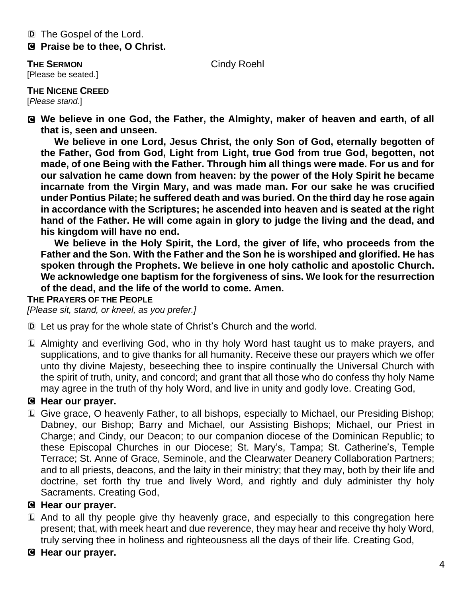# D The Gospel of the Lord.

# C **Praise be to thee, O Christ.**

**THE SERMON** Cindy Roehl [Please be seated.]

#### **THE NICENE CREED**  [*Please stand.*]

C **We believe in one God, the Father, the Almighty, maker of heaven and earth, of all that is, seen and unseen.** 

**We believe in one Lord, Jesus Christ, the only Son of God, eternally begotten of the Father, God from God, Light from Light, true God from true God, begotten, not made, of one Being with the Father. Through him all things were made. For us and for our salvation he came down from heaven: by the power of the Holy Spirit he became incarnate from the Virgin Mary, and was made man. For our sake he was crucified under Pontius Pilate; he suffered death and was buried. On the third day he rose again in accordance with the Scriptures; he ascended into heaven and is seated at the right hand of the Father. He will come again in glory to judge the living and the dead, and his kingdom will have no end.**

**We believe in the Holy Spirit, the Lord, the giver of life, who proceeds from the Father and the Son. With the Father and the Son he is worshiped and glorified. He has spoken through the Prophets. We believe in one holy catholic and apostolic Church. We acknowledge one baptism for the forgiveness of sins. We look for the resurrection of the dead, and the life of the world to come. Amen.**

#### **THE PRAYERS OF THE PEOPLE**

*[Please sit, stand, or kneel, as you prefer.]*

- D Let us pray for the whole state of Christ's Church and the world.
- L Almighty and everliving God, who in thy holy Word hast taught us to make prayers, and supplications, and to give thanks for all humanity. Receive these our prayers which we offer unto thy divine Majesty, beseeching thee to inspire continually the Universal Church with the spirit of truth, unity, and concord; and grant that all those who do confess thy holy Name may agree in the truth of thy holy Word, and live in unity and godly love. Creating God,

### C **Hear our prayer.**

L Give grace, O heavenly Father, to all bishops, especially to Michael, our Presiding Bishop; Dabney, our Bishop; Barry and Michael, our Assisting Bishops; Michael, our Priest in Charge; and Cindy, our Deacon; to our companion diocese of the Dominican Republic; to these Episcopal Churches in our Diocese; St. Mary's, Tampa; St. Catherine's, Temple Terrace; St. Anne of Grace, Seminole, and the Clearwater Deanery Collaboration Partners; and to all priests, deacons, and the laity in their ministry; that they may, both by their life and doctrine, set forth thy true and lively Word, and rightly and duly administer thy holy Sacraments. Creating God,

### C **Hear our prayer.**

L And to all thy people give thy heavenly grace, and especially to this congregation here present; that, with meek heart and due reverence, they may hear and receive thy holy Word, truly serving thee in holiness and righteousness all the days of their life. Creating God,

### C **Hear our prayer.**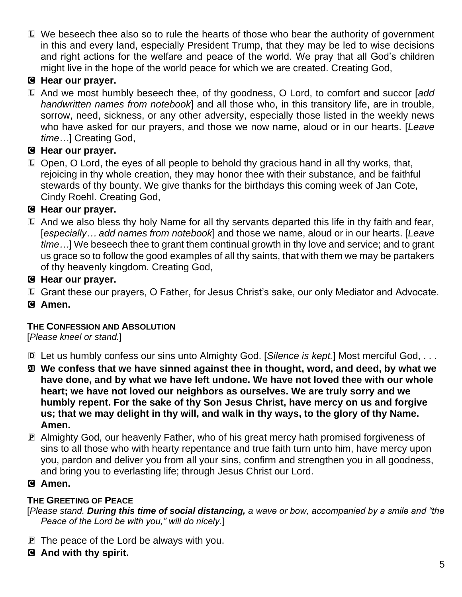L We beseech thee also so to rule the hearts of those who bear the authority of government in this and every land, especially President Trump, that they may be led to wise decisions and right actions for the welfare and peace of the world. We pray that all God's children might live in the hope of the world peace for which we are created. Creating God,

# C **Hear our prayer.**

L And we most humbly beseech thee, of thy goodness, O Lord, to comfort and succor [*add handwritten names from notebook*] and all those who, in this transitory life, are in trouble, sorrow, need, sickness, or any other adversity, especially those listed in the weekly news who have asked for our prayers, and those we now name, aloud or in our hearts. [*Leave time…*] Creating God,

# C **Hear our prayer.**

L Open, O Lord, the eyes of all people to behold thy gracious hand in all thy works, that, rejoicing in thy whole creation, they may honor thee with their substance, and be faithful stewards of thy bounty. We give thanks for the birthdays this coming week of Jan Cote, Cindy Roehl. Creating God,

# C **Hear our prayer.**

L And we also bless thy holy Name for all thy servants departed this life in thy faith and fear, [*especially… add names from notebook*] and those we name, aloud or in our hearts. [*Leave time…*] We beseech thee to grant them continual growth in thy love and service; and to grant us grace so to follow the good examples of all thy saints, that with them we may be partakers of thy heavenly kingdom. Creating God,

# C **Hear our prayer.**

- L Grant these our prayers, O Father, for Jesus Christ's sake, our only Mediator and Advocate.
- C **Amen.**

# **THE CONFESSION AND ABSOLUTION**

[*Please kneel or stand.*]

- D Let us humbly confess our sins unto Almighty God. [*Silence is kept.*] Most merciful God, . . .
- a **We confess that we have sinned against thee in thought, word, and deed, by what we have done, and by what we have left undone. We have not loved thee with our whole heart; we have not loved our neighbors as ourselves. We are truly sorry and we humbly repent. For the sake of thy Son Jesus Christ, have mercy on us and forgive us; that we may delight in thy will, and walk in thy ways, to the glory of thy Name. Amen.**
- P Almighty God, our heavenly Father, who of his great mercy hath promised forgiveness of sins to all those who with hearty repentance and true faith turn unto him, have mercy upon you, pardon and deliver you from all your sins, confirm and strengthen you in all goodness, and bring you to everlasting life; through Jesus Christ our Lord.

# C **Amen.**

# **THE GREETING OF PEACE**

[*Please stand. During this time of social distancing, a wave or bow, accompanied by a smile and "the Peace of the Lord be with you," will do nicely.*]

- P The peace of the Lord be always with you.
- C **And with thy spirit.**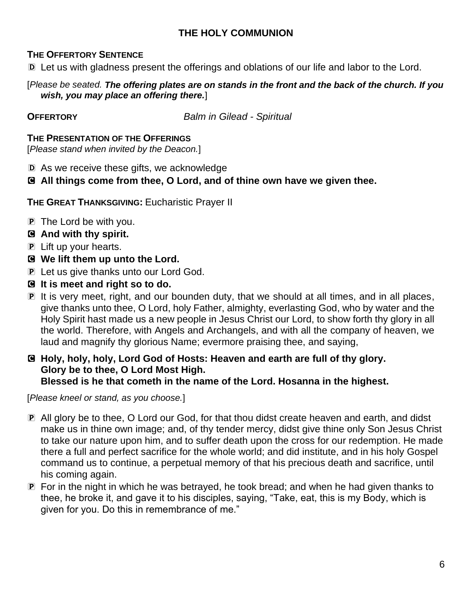# **THE HOLY COMMUNION**

### **THE OFFERTORY SENTENCE**

D Let us with gladness present the offerings and oblations of our life and labor to the Lord.

#### [*Please be seated. The offering plates are on stands in the front and the back of the church. If you wish, you may place an offering there.*]

**OFFERTORY** *Balm in Gilead - Spiritual*

#### **THE PRESENTATION OF THE OFFERINGS** [*Please stand when invited by the Deacon.*]

- D As we receive these gifts, we acknowledge
- C **All things come from thee, O Lord, and of thine own have we given thee.**

**THE GREAT THANKSGIVING:** Eucharistic Prayer II

- P The Lord be with you.
- C **And with thy spirit.**
- P Lift up your hearts.
- C **We lift them up unto the Lord.**
- **P** Let us give thanks unto our Lord God.
- C **It is meet and right so to do.**
- P It is very meet, right, and our bounden duty, that we should at all times, and in all places, give thanks unto thee, O Lord, holy Father, almighty, everlasting God, who by water and the Holy Spirit hast made us a new people in Jesus Christ our Lord, to show forth thy glory in all the world. Therefore, with Angels and Archangels, and with all the company of heaven, we laud and magnify thy glorious Name; evermore praising thee, and saying,

#### C **Holy, holy, holy, Lord God of Hosts: Heaven and earth are full of thy glory. Glory be to thee, O Lord Most High. Blessed is he that cometh in the name of the Lord. Hosanna in the highest.**

[*Please kneel or stand, as you choose.*]

- P All glory be to thee, O Lord our God, for that thou didst create heaven and earth, and didst make us in thine own image; and, of thy tender mercy, didst give thine only Son Jesus Christ to take our nature upon him, and to suffer death upon the cross for our redemption. He made there a full and perfect sacrifice for the whole world; and did institute, and in his holy Gospel command us to continue, a perpetual memory of that his precious death and sacrifice, until his coming again.
- P For in the night in which he was betrayed, he took bread; and when he had given thanks to thee, he broke it, and gave it to his disciples, saying, "Take, eat, this is my Body, which is given for you. Do this in remembrance of me."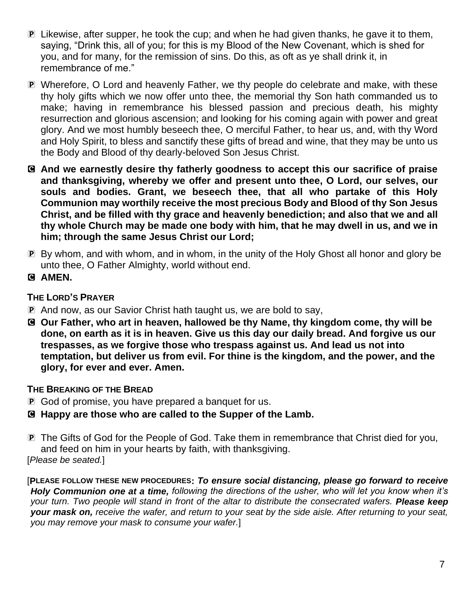- P Likewise, after supper, he took the cup; and when he had given thanks, he gave it to them, saying, "Drink this, all of you; for this is my Blood of the New Covenant, which is shed for you, and for many, for the remission of sins. Do this, as oft as ye shall drink it, in remembrance of me."
- P Wherefore, O Lord and heavenly Father, we thy people do celebrate and make, with these thy holy gifts which we now offer unto thee, the memorial thy Son hath commanded us to make; having in remembrance his blessed passion and precious death, his mighty resurrection and glorious ascension; and looking for his coming again with power and great glory. And we most humbly beseech thee, O merciful Father, to hear us, and, with thy Word and Holy Spirit, to bless and sanctify these gifts of bread and wine, that they may be unto us the Body and Blood of thy dearly-beloved Son Jesus Christ.
- C **And we earnestly desire thy fatherly goodness to accept this our sacrifice of praise and thanksgiving, whereby we offer and present unto thee, O Lord, our selves, our souls and bodies. Grant, we beseech thee, that all who partake of this Holy Communion may worthily receive the most precious Body and Blood of thy Son Jesus Christ, and be filled with thy grace and heavenly benediction; and also that we and all thy whole Church may be made one body with him, that he may dwell in us, and we in him; through the same Jesus Christ our Lord;**
- P By whom, and with whom, and in whom, in the unity of the Holy Ghost all honor and glory be unto thee, O Father Almighty, world without end.
- C **AMEN.**

# **THE LORD'S PRAYER**

- P And now, as our Savior Christ hath taught us, we are bold to say,
- C **Our Father, who art in heaven, hallowed be thy Name, thy kingdom come, thy will be done, on earth as it is in heaven. Give us this day our daily bread. And forgive us our trespasses, as we forgive those who trespass against us. And lead us not into temptation, but deliver us from evil. For thine is the kingdom, and the power, and the glory, for ever and ever. Amen.**

# **THE BREAKING OF THE BREAD**

- P God of promise, you have prepared a banquet for us.
- C **Happy are those who are called to the Supper of the Lamb.**
- P The Gifts of God for the People of God. Take them in remembrance that Christ died for you, and feed on him in your hearts by faith, with thanksgiving. [*Please be seated.*]

[**PLEASE FOLLOW THESE NEW PROCEDURES:** *To ensure social distancing, please go forward to receive Holy Communion one at a time, following the directions of the usher, who will let you know when it's your turn. Two people will stand in front of the altar to distribute the consecrated wafers. Please keep your mask on, receive the wafer, and return to your seat by the side aisle. After returning to your seat, you may remove your mask to consume your wafer.*]